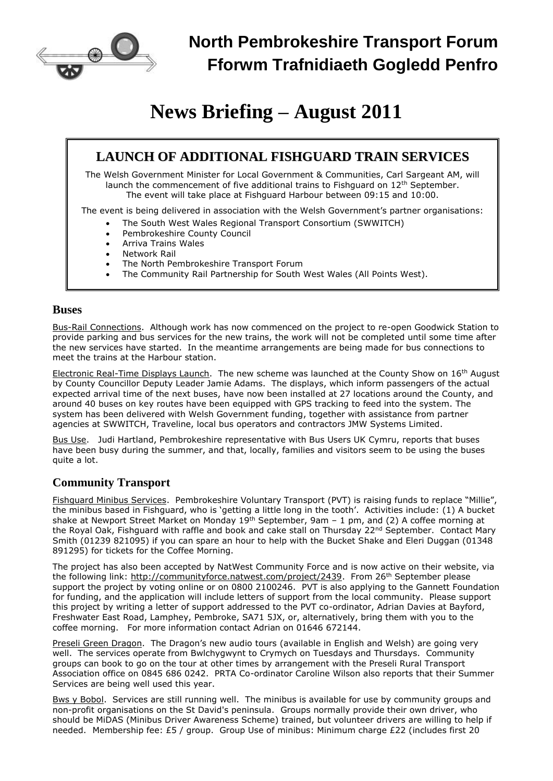

# **News Briefing – August 2011**

## **LAUNCH OF ADDITIONAL FISHGUARD TRAIN SERVICES**

The Welsh Government Minister for Local Government & Communities, Carl Sargeant AM, will launch the commencement of five additional trains to Fishguard on 12<sup>th</sup> September. The event will take place at Fishguard Harbour between 09:15 and 10:00.

The event is being delivered in association with the Welsh Government's partner organisations:

- The South West Wales Regional Transport Consortium (SWWITCH)
- Pembrokeshire County Council
- Arriva Trains Wales
- Network Rail
- The North Pembrokeshire Transport Forum
- The Community Rail Partnership for South West Wales (All Points West).

#### **Buses**

Bus-Rail Connections. Although work has now commenced on the project to re-open Goodwick Station to provide parking and bus services for the new trains, the work will not be completed until some time after the new services have started. In the meantime arrangements are being made for bus connections to meet the trains at the Harbour station.

Electronic Real-Time Displays Launch. The new scheme was launched at the County Show on 16<sup>th</sup> August by County Councillor Deputy Leader Jamie Adams. The displays, which inform passengers of the actual expected arrival time of the next buses, have now been installed at 27 locations around the County, and around 40 buses on key routes have been equipped with GPS tracking to feed into the system. The system has been delivered with Welsh Government funding, together with assistance from partner agencies at SWWITCH, Traveline, local bus operators and contractors JMW Systems Limited.

Bus Use. Judi Hartland, Pembrokeshire representative with Bus Users UK Cymru, reports that buses have been busy during the summer, and that, locally, families and visitors seem to be using the buses quite a lot.

### **Community Transport**

Fishguard Minibus Services. Pembrokeshire Voluntary Transport (PVT) is raising funds to replace "Millie", the minibus based in Fishguard, who is 'getting a little long in the tooth'. Activities include: (1) A bucket shake at Newport Street Market on Monday 19<sup>th</sup> September, 9am - 1 pm, and (2) A coffee morning at the Royal Oak, Fishguard with raffle and book and cake stall on Thursday 22<sup>nd</sup> September. Contact Mary Smith (01239 821095) if you can spare an hour to help with the Bucket Shake and Eleri Duggan (01348 891295) for tickets for the Coffee Morning.

The project has also been accepted by NatWest Community Force and is now active on their website, via the following link: [http://communityforce.natwest.com/project/2439.](http://communityforce.natwest.com/project/2439) From 26<sup>th</sup> September please support the project by voting online or on 0800 2100246. PVT is also applying to the Gannett Foundation for funding, and the application will include letters of support from the local community. Please support this project by writing a letter of support addressed to the PVT co-ordinator, Adrian Davies at Bayford, Freshwater East Road, Lamphey, Pembroke, SA71 5JX, or, alternatively, bring them with you to the coffee morning. For more information contact Adrian on 01646 672144.

Preseli Green Dragon. The Dragon's new audio tours (available in English and Welsh) are going very well. The services operate from Bwlchygwynt to Crymych on Tuesdays and Thursdays. Community groups can book to go on the tour at other times by arrangement with the Preseli Rural Transport Association office on 0845 686 0242. PRTA Co-ordinator Caroline Wilson also reports that their Summer Services are being well used this year.

Bws y Bobol. Services are still running well. The minibus is available for use by community groups and non-profit organisations on the St David's peninsula. Groups normally provide their own driver, who should be MiDAS (Minibus Driver Awareness Scheme) trained, but volunteer drivers are willing to help if needed. Membership fee: £5 / group. Group Use of minibus: Minimum charge £22 (includes first 20